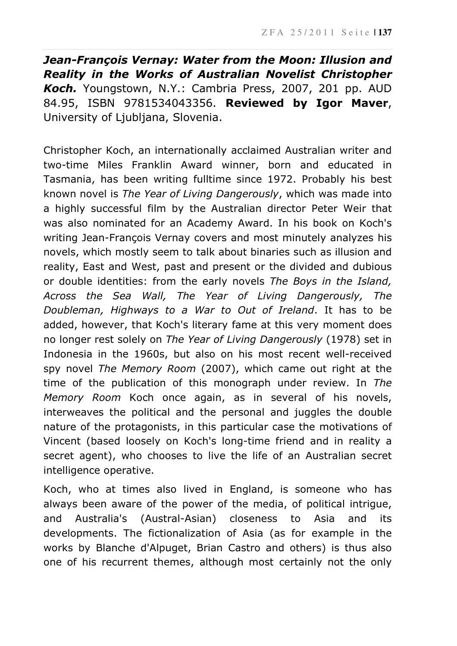*Jean-François Vernay: Water from the Moon: Illusion and Reality in the Works of Australian Novelist Christopher Koch.* Youngstown, N.Y.: Cambria Press, 2007, 201 pp. AUD 84.95, ISBN 9781534043356. **Reviewed by Igor Maver**, University of Ljubljana, Slovenia.

Christopher Koch, an internationally acclaimed Australian writer and two-time Miles Franklin Award winner, born and educated in Tasmania, has been writing fulltime since 1972. Probably his best known novel is *The Year of Living Dangerously*, which was made into a highly successful film by the Australian director Peter Weir that was also nominated for an Academy Award. In his book on Koch's writing Jean-François Vernay covers and most minutely analyzes his novels, which mostly seem to talk about binaries such as illusion and reality, East and West, past and present or the divided and dubious or double identities: from the early novels *The Boys in the Island, Across the Sea Wall, The Year of Living Dangerously, The Doubleman, Highways to a War to Out of Ireland*. It has to be added, however, that Koch's literary fame at this very moment does no longer rest solely on *The Year of Living Dangerously* (1978) set in Indonesia in the 1960s, but also on his most recent well-received spy novel *The Memory Room* (2007), which came out right at the time of the publication of this monograph under review. In *The Memory Room* Koch once again, as in several of his novels, interweaves the political and the personal and juggles the double nature of the protagonists, in this particular case the motivations of Vincent (based loosely on Koch's long-time friend and in reality a secret agent), who chooses to live the life of an Australian secret intelligence operative.

Koch, who at times also lived in England, is someone who has always been aware of the power of the media, of political intrigue, and Australia's (Austral-Asian) closeness to Asia and its developments. The fictionalization of Asia (as for example in the works by Blanche d'Alpuget, Brian Castro and others) is thus also one of his recurrent themes, although most certainly not the only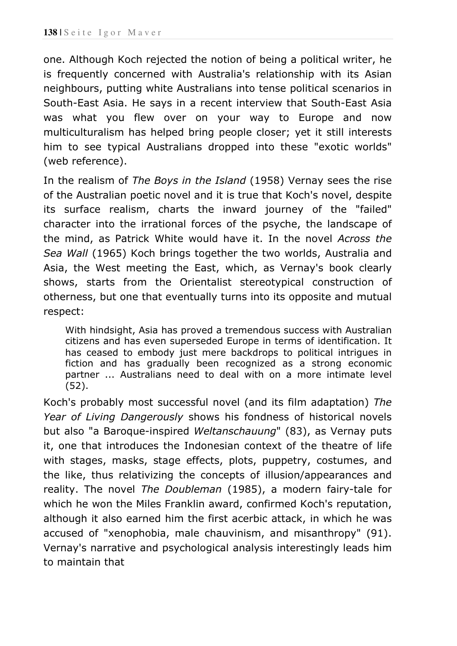one. Although Koch rejected the notion of being a political writer, he is frequently concerned with Australia's relationship with its Asian neighbours, putting white Australians into tense political scenarios in South-East Asia. He says in a recent interview that South-East Asia was what you flew over on your way to Europe and now multiculturalism has helped bring people closer; yet it still interests him to see typical Australians dropped into these "exotic worlds" (web reference).

In the realism of *The Boys in the Island* (1958) Vernay sees the rise of the Australian poetic novel and it is true that Koch's novel, despite its surface realism, charts the inward journey of the "failed" character into the irrational forces of the psyche, the landscape of the mind, as Patrick White would have it. In the novel *Across the Sea Wall* (1965) Koch brings together the two worlds, Australia and Asia, the West meeting the East, which, as Vernay's book clearly shows, starts from the Orientalist stereotypical construction of otherness, but one that eventually turns into its opposite and mutual respect:

With hindsight, Asia has proved a tremendous success with Australian citizens and has even superseded Europe in terms of identification. It has ceased to embody just mere backdrops to political intrigues in fiction and has gradually been recognized as a strong economic partner ... Australians need to deal with on a more intimate level (52).

Koch's probably most successful novel (and its film adaptation) *The Year of Living Dangerously* shows his fondness of historical novels but also "a Baroque-inspired *Weltanschauung*" (83), as Vernay puts it, one that introduces the Indonesian context of the theatre of life with stages, masks, stage effects, plots, puppetry, costumes, and the like, thus relativizing the concepts of illusion/appearances and reality. The novel *The Doubleman* (1985), a modern fairy-tale for which he won the Miles Franklin award, confirmed Koch's reputation, although it also earned him the first acerbic attack, in which he was accused of "xenophobia, male chauvinism, and misanthropy" (91). Vernay's narrative and psychological analysis interestingly leads him to maintain that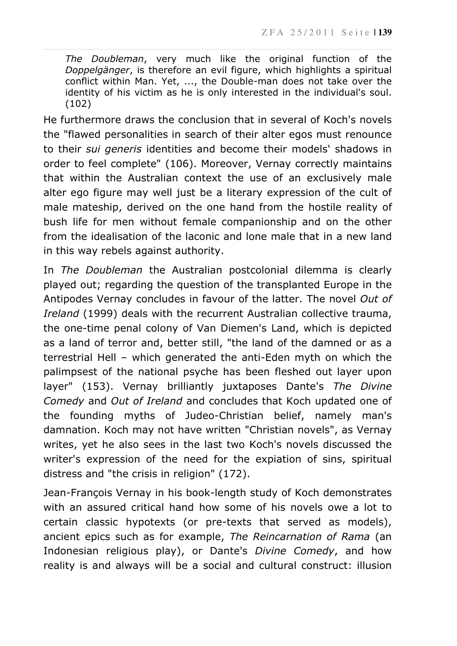*The Doubleman*, very much like the original function of the *Doppelgänger*, is therefore an evil figure, which highlights a spiritual conflict within Man. Yet, ..., the Double-man does not take over the identity of his victim as he is only interested in the individual's soul. (102)

He furthermore draws the conclusion that in several of Koch's novels the "flawed personalities in search of their alter egos must renounce to their *sui generis* identities and become their models' shadows in order to feel complete" (106). Moreover, Vernay correctly maintains that within the Australian context the use of an exclusively male alter ego figure may well just be a literary expression of the cult of male mateship, derived on the one hand from the hostile reality of bush life for men without female companionship and on the other from the idealisation of the laconic and lone male that in a new land in this way rebels against authority.

In *The Doubleman* the Australian postcolonial dilemma is clearly played out; regarding the question of the transplanted Europe in the Antipodes Vernay concludes in favour of the latter. The novel *Out of Ireland* (1999) deals with the recurrent Australian collective trauma, the one-time penal colony of Van Diemen's Land, which is depicted as a land of terror and, better still, "the land of the damned or as a terrestrial Hell – which generated the anti-Eden myth on which the palimpsest of the national psyche has been fleshed out layer upon layer" (153). Vernay brilliantly juxtaposes Dante's *The Divine Comedy* and *Out of Ireland* and concludes that Koch updated one of the founding myths of Judeo-Christian belief, namely man's damnation. Koch may not have written "Christian novels", as Vernay writes, yet he also sees in the last two Koch's novels discussed the writer's expression of the need for the expiation of sins, spiritual distress and "the crisis in religion" (172).

Jean-François Vernay in his book-length study of Koch demonstrates with an assured critical hand how some of his novels owe a lot to certain classic hypotexts (or pre-texts that served as models), ancient epics such as for example, *The Reincarnation of Rama* (an Indonesian religious play), or Dante's *Divine Comedy*, and how reality is and always will be a social and cultural construct: illusion